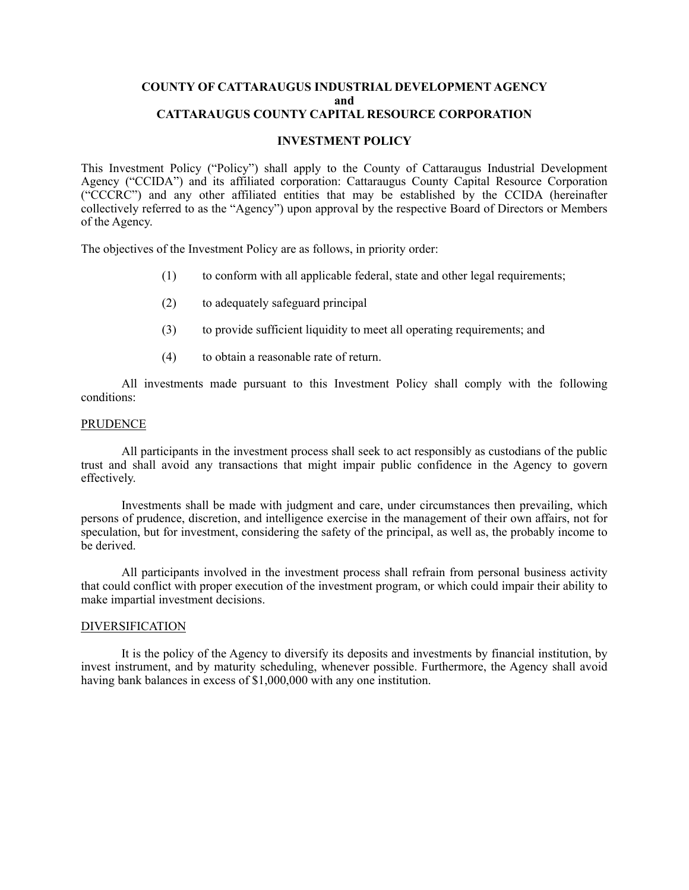#### **COUNTY OF CATTARAUGUS INDUSTRIAL DEVELOPMENT AGENCY and CATTARAUGUS COUNTY CAPITAL RESOURCE CORPORATION**

# **INVESTMENT POLICY**

This Investment Policy ("Policy") shall apply to the County of Cattaraugus Industrial Development Agency ("CCIDA") and its affiliated corporation: Cattaraugus County Capital Resource Corporation ("CCCRC") and any other affiliated entities that may be established by the CCIDA (hereinafter collectively referred to as the "Agency") upon approval by the respective Board of Directors or Members of the Agency.

The objectives of the Investment Policy are as follows, in priority order:

- (1) to conform with all applicable federal, state and other legal requirements;
- (2) to adequately safeguard principal
- (3) to provide sufficient liquidity to meet all operating requirements; and
- (4) to obtain a reasonable rate of return.

All investments made pursuant to this Investment Policy shall comply with the following conditions:

### PRUDENCE

All participants in the investment process shall seek to act responsibly as custodians of the public trust and shall avoid any transactions that might impair public confidence in the Agency to govern effectively.

Investments shall be made with judgment and care, under circumstances then prevailing, which persons of prudence, discretion, and intelligence exercise in the management of their own affairs, not for speculation, but for investment, considering the safety of the principal, as well as, the probably income to be derived.

All participants involved in the investment process shall refrain from personal business activity that could conflict with proper execution of the investment program, or which could impair their ability to make impartial investment decisions.

### DIVERSIFICATION

It is the policy of the Agency to diversify its deposits and investments by financial institution, by invest instrument, and by maturity scheduling, whenever possible. Furthermore, the Agency shall avoid having bank balances in excess of \$1,000,000 with any one institution.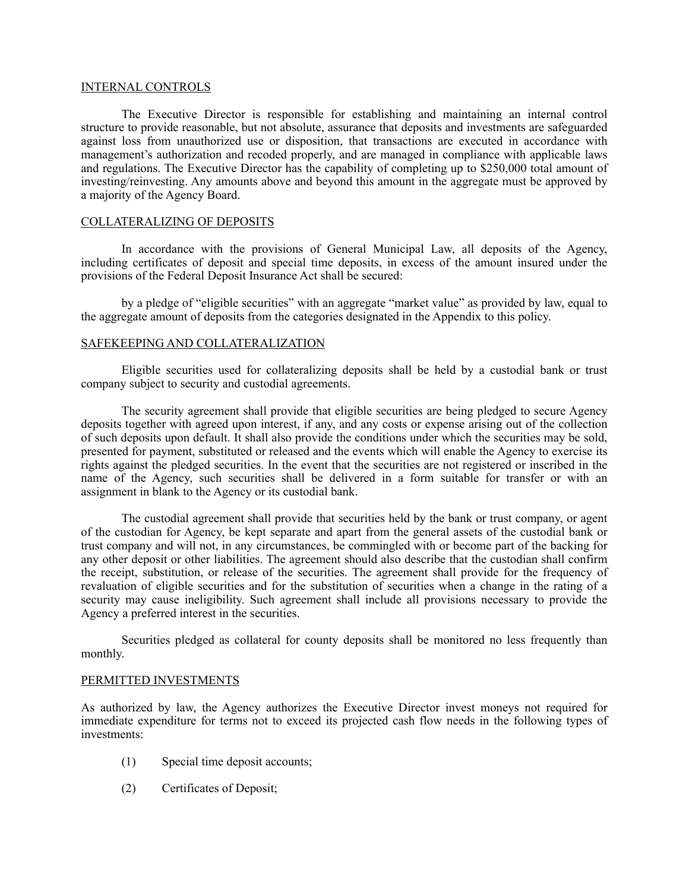# INTERNAL CONTROLS

The Executive Director is responsible for establishing and maintaining an internal control structure to provide reasonable, but not absolute, assurance that deposits and investments are safeguarded against loss from unauthorized use or disposition, that transactions are executed in accordance with management's authorization and recoded properly, and are managed in compliance with applicable laws and regulations. The Executive Director has the capability of completing up to \$250,000 total amount of investing/reinvesting. Any amounts above and beyond this amount in the aggregate must be approved by a majority of the Agency Board.

# COLLATERALIZING OF DEPOSITS

In accordance with the provisions of General Municipal Law, all deposits of the Agency, including certificates of deposit and special time deposits, in excess of the amount insured under the provisions of the Federal Deposit Insurance Act shall be secured:

by a pledge of "eligible securities" with an aggregate "market value" as provided by law, equal to the aggregate amount of deposits from the categories designated in the Appendix to this policy.

# SAFEKEEPING AND COLLATERALIZATION

Eligible securities used for collateralizing deposits shall be held by a custodial bank or trust company subject to security and custodial agreements.

The security agreement shall provide that eligible securities are being pledged to secure Agency deposits together with agreed upon interest, if any, and any costs or expense arising out of the collection of such deposits upon default. It shall also provide the conditions under which the securities may be sold, presented for payment, substituted or released and the events which will enable the Agency to exercise its rights against the pledged securities. In the event that the securities are not registered or inscribed in the name of the Agency, such securities shall be delivered in a form suitable for transfer or with an assignment in blank to the Agency or its custodial bank.

The custodial agreement shall provide that securities held by the bank or trust company, or agent of the custodian for Agency, be kept separate and apart from the general assets of the custodial bank or trust company and will not, in any circumstances, be commingled with or become part of the backing for any other deposit or other liabilities. The agreement should also describe that the custodian shall confirm the receipt, substitution, or release of the securities. The agreement shall provide for the frequency of revaluation of eligible securities and for the substitution of securities when a change in the rating of a security may cause ineligibility. Such agreement shall include all provisions necessary to provide the Agency a preferred interest in the securities.

Securities pledged as collateral for county deposits shall be monitored no less frequently than monthly.

#### PERMITTED INVESTMENTS

As authorized by law, the Agency authorizes the Executive Director invest moneys not required for immediate expenditure for terms not to exceed its projected cash flow needs in the following types of investments:

- (1) Special time deposit accounts;
- (2) Certificates of Deposit;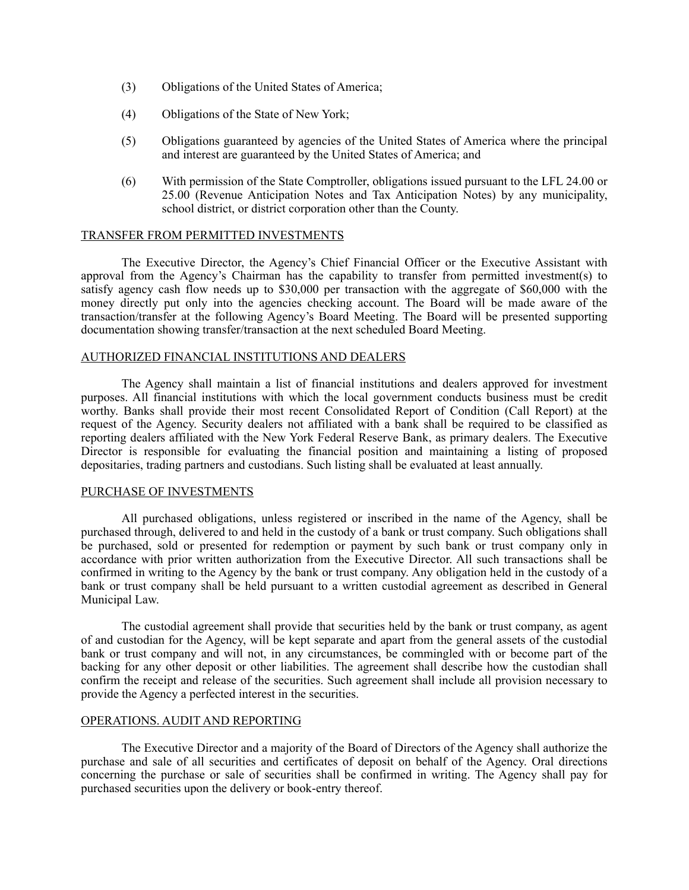- (3) Obligations of the United States of America;
- (4) Obligations of the State of New York;
- (5) Obligations guaranteed by agencies of the United States of America where the principal and interest are guaranteed by the United States of America; and
- (6) With permission of the State Comptroller, obligations issued pursuant to the LFL 24.00 or 25.00 (Revenue Anticipation Notes and Tax Anticipation Notes) by any municipality, school district, or district corporation other than the County.

# TRANSFER FROM PERMITTED INVESTMENTS

The Executive Director, the Agency's Chief Financial Officer or the Executive Assistant with approval from the Agency's Chairman has the capability to transfer from permitted investment(s) to satisfy agency cash flow needs up to \$30,000 per transaction with the aggregate of \$60,000 with the money directly put only into the agencies checking account. The Board will be made aware of the transaction/transfer at the following Agency's Board Meeting. The Board will be presented supporting documentation showing transfer/transaction at the next scheduled Board Meeting.

### AUTHORIZED FINANCIAL INSTITUTIONS AND DEALERS

The Agency shall maintain a list of financial institutions and dealers approved for investment purposes. All financial institutions with which the local government conducts business must be credit worthy. Banks shall provide their most recent Consolidated Report of Condition (Call Report) at the request of the Agency. Security dealers not affiliated with a bank shall be required to be classified as reporting dealers affiliated with the New York Federal Reserve Bank, as primary dealers. The Executive Director is responsible for evaluating the financial position and maintaining a listing of proposed depositaries, trading partners and custodians. Such listing shall be evaluated at least annually.

### PURCHASE OF INVESTMENTS

All purchased obligations, unless registered or inscribed in the name of the Agency, shall be purchased through, delivered to and held in the custody of a bank or trust company. Such obligations shall be purchased, sold or presented for redemption or payment by such bank or trust company only in accordance with prior written authorization from the Executive Director. All such transactions shall be confirmed in writing to the Agency by the bank or trust company. Any obligation held in the custody of a bank or trust company shall be held pursuant to a written custodial agreement as described in General Municipal Law.

The custodial agreement shall provide that securities held by the bank or trust company, as agent of and custodian for the Agency, will be kept separate and apart from the general assets of the custodial bank or trust company and will not, in any circumstances, be commingled with or become part of the backing for any other deposit or other liabilities. The agreement shall describe how the custodian shall confirm the receipt and release of the securities. Such agreement shall include all provision necessary to provide the Agency a perfected interest in the securities.

### OPERATIONS. AUDIT AND REPORTING

The Executive Director and a majority of the Board of Directors of the Agency shall authorize the purchase and sale of all securities and certificates of deposit on behalf of the Agency. Oral directions concerning the purchase or sale of securities shall be confirmed in writing. The Agency shall pay for purchased securities upon the delivery or book-entry thereof.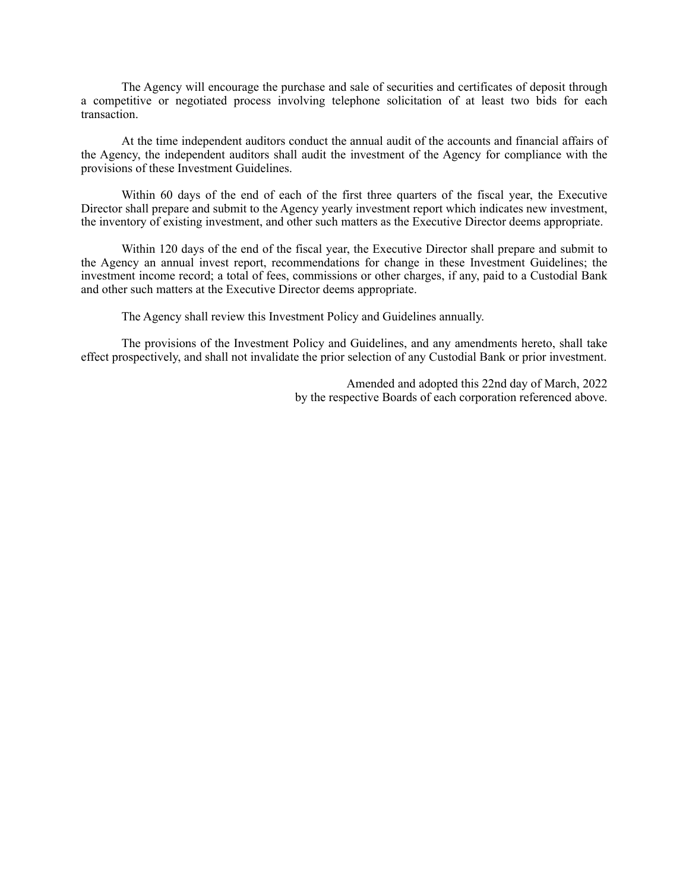The Agency will encourage the purchase and sale of securities and certificates of deposit through a competitive or negotiated process involving telephone solicitation of at least two bids for each transaction.

At the time independent auditors conduct the annual audit of the accounts and financial affairs of the Agency, the independent auditors shall audit the investment of the Agency for compliance with the provisions of these Investment Guidelines.

Within 60 days of the end of each of the first three quarters of the fiscal year, the Executive Director shall prepare and submit to the Agency yearly investment report which indicates new investment, the inventory of existing investment, and other such matters as the Executive Director deems appropriate.

Within 120 days of the end of the fiscal year, the Executive Director shall prepare and submit to the Agency an annual invest report, recommendations for change in these Investment Guidelines; the investment income record; a total of fees, commissions or other charges, if any, paid to a Custodial Bank and other such matters at the Executive Director deems appropriate.

The Agency shall review this Investment Policy and Guidelines annually.

The provisions of the Investment Policy and Guidelines, and any amendments hereto, shall take effect prospectively, and shall not invalidate the prior selection of any Custodial Bank or prior investment.

> Amended and adopted this 22nd day of March, 2022 by the respective Boards of each corporation referenced above.